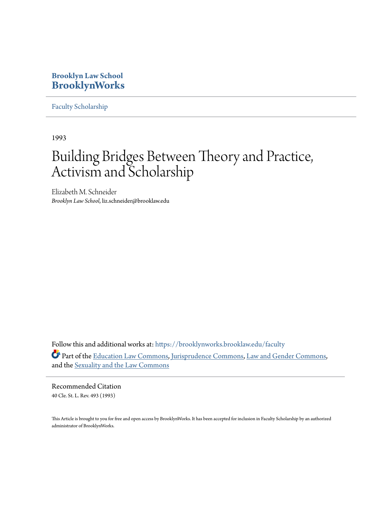## **Brooklyn Law School [BrooklynWorks](https://brooklynworks.brooklaw.edu?utm_source=brooklynworks.brooklaw.edu%2Ffaculty%2F355&utm_medium=PDF&utm_campaign=PDFCoverPages)**

[Faculty Scholarship](https://brooklynworks.brooklaw.edu/faculty?utm_source=brooklynworks.brooklaw.edu%2Ffaculty%2F355&utm_medium=PDF&utm_campaign=PDFCoverPages)

1993

## Building Bridges Between Theory and Practice, Activism and Scholarship

Elizabeth M. Schneider *Brooklyn Law School*, liz.schneider@brooklaw.edu

Follow this and additional works at: [https://brooklynworks.brooklaw.edu/faculty](https://brooklynworks.brooklaw.edu/faculty?utm_source=brooklynworks.brooklaw.edu%2Ffaculty%2F355&utm_medium=PDF&utm_campaign=PDFCoverPages) Part of the [Education Law Commons](http://network.bepress.com/hgg/discipline/596?utm_source=brooklynworks.brooklaw.edu%2Ffaculty%2F355&utm_medium=PDF&utm_campaign=PDFCoverPages), [Jurisprudence Commons](http://network.bepress.com/hgg/discipline/610?utm_source=brooklynworks.brooklaw.edu%2Ffaculty%2F355&utm_medium=PDF&utm_campaign=PDFCoverPages), [Law and Gender Commons,](http://network.bepress.com/hgg/discipline/1298?utm_source=brooklynworks.brooklaw.edu%2Ffaculty%2F355&utm_medium=PDF&utm_campaign=PDFCoverPages) and the [Sexuality and the Law Commons](http://network.bepress.com/hgg/discipline/877?utm_source=brooklynworks.brooklaw.edu%2Ffaculty%2F355&utm_medium=PDF&utm_campaign=PDFCoverPages)

Recommended Citation 40 Cle. St. L. Rev. 493 (1993)

This Article is brought to you for free and open access by BrooklynWorks. It has been accepted for inclusion in Faculty Scholarship by an authorized administrator of BrooklynWorks.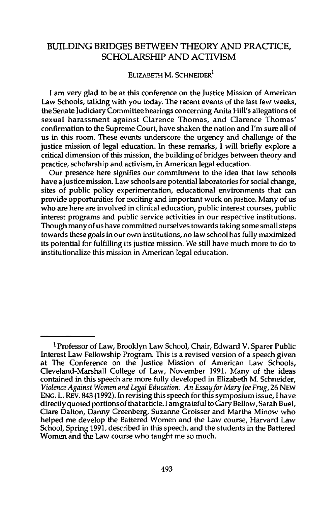## BUILDING BRIDGES **BETWEEN** THEORY **AND** PRACTICE, SCHOLARSHIP **AND** ACTIVISM

## ELIZABETH M. **SCHNEIDER1**

**I** am very glad to be at this conference on the justice Mission of American Law Schools, talking with you today. The recent events of the last few weeks, the Senate Judiciary Committee hearings concerning Anita Hill's allegations of sexual harassment against Clarence Thomas, and Clarence Thomas' confirmation to the Supreme Court, have shaken the nation and I'm sure all of us in this room. These events underscore the urgency and challenge of the justice mission of legal education. In these remarks, I will briefly explore a critical dimension of this mission, the building of bridges between theory and practice, scholarship and activism, in American legal education.

Our presence here signifies our commitment to the idea that law schools have a justice mission. Law schools are potential laboratories for social change, sites of public policy experimentation, educational environments that can provide opportunities for exciting and important work on justice. Many of us who are here are involved in clinical education, public interest courses, public interest programs and public service activities in our respective institutions. Though many of us have committed ourselves towards taking some small steps towards these goals in our own institutions, no law school has fully maximized its potential for fulfilling its justice mission. We still have much more to do to institutionalize this mission in American legal education.

**<sup>1</sup>** Professor of Law, Brooklyn Law School, Chair, Edward V. Sparer Public Interest Law Fellowship Program. This is a revised version of a speech given at The Conference on the Justice Mission of American Law Schools, Cleveland-Marshall College of Law, November 1991. Many of the ideas contained in this speech are more fully developed in Elizabeth M. Schneider, *Violence Against Women and Legal Education: An Essayfor Mary Joe Frug,* 26 **NEW ENG.** L. REv. 843 (1992). In revising this speech for this symposium issue, I have directly quoted portions of that article. I am grateful to Gary Bellow, Sarah Buel, Clare Dalton, Danny Greenberg, Suzanne Groisser and Martha Minow who helped me develop the Battered Women and the Law course, Harvard Law School, Spring 1991, described in this speech, and the students in the Battered Women and the Law course who taught me so much.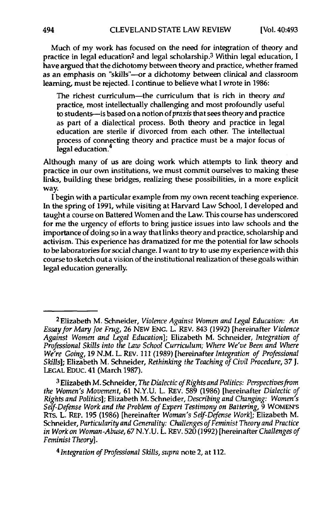Much of my work has focused on the need for integration of theory and practice in legal education<sup>2</sup> and legal scholarship.<sup>3</sup> Within legal education, I have argued that the dichotomy between theory and practice, whether framed as an emphasis on "skills"--or a dichotomy between clinical and classroom learning, must be rejected. I continue to believe what I wrote in **1986:**

The richest curriculum-the curriculum that is rich in theory *and* practice, most intellectually challenging and most profoundly useful to students-is based on a notion of *praxis* that sees theory and practice as part of a dialectical process. Both theory and practice in legal education are sterile if divorced from each other. The intellectual process of connecting theory and practice must be a major focus of legal education.<sup>4</sup>

Although many of us are doing work which attempts to link theory and practice in our own institutions, we must commit ourselves to making these links, building these bridges, realizing these possibilities, in a more explicit way.

**I** begin with a particular example from my own recent teaching experience. In the spring of **1991,** while visiting at Harvard Law School, I developed and taught a course on Battered Women and the Law. This course has underscored for me the urgency of efforts to bring justice issues into law schools and the importance of doing so in a way that links theory and practice, scholarship and activism. This experience has dramatized for me the potential for law schools to be laboratories for social change. **I** want to try to use my experience with this course to sketch out a vision of the institutional realization of these goals within legal education generally.

**4** *Integration of Professional Skills, supra* note 2, at 112.

**<sup>2</sup>Elizabeth** M. Schneider, *Violence Against Women and Legal Education: An Essayfor Mary Joe Frug,* **26 NEW ENG.** L. REV. 843 **(1992)** [hereinafter *Violence Against Women and Legal Education];* Elizabeth M. Schneider, *Integration of Professional Skills into the Law School Curriculum; Where We've Been and Where We're Going,* **19 N.M.** L. REv. **111 (1989)** [hereinafter *Integration of Professional Skills];* Elizabeth M. Schneider, *Rethinking the Teaching of Civil Procedure,* **37 J. LEGAL** EDuc. 41 (March **1987).**

**<sup>3</sup>** Elizabeth M. Schneider, *The Dialectic of Rights and Politics: Perspectives from the Women's Movement,* **61 N.Y.U.** L. REV. **589 (1986)** [hereinafter *Dialectic of Rights and Politics];* Elizabeth M. Schneider, *Describing and Changing: Women's Self-Defense Work and the Problem of Expert Testimony on Battering,* **9** WOMEN'S RTs. L. REP. **195 (1986)** [hereinafter *Woman's Self-Defense Work];* Elizabeth M. Schneider, *Particularity and Generality: Challenges of Feminist Theory and Practice in Work on Woman-Abuse,* **67 N.Y.U.** L. REV. **520 (1992)** [hereinafter *Challenges of Feminist Theory].*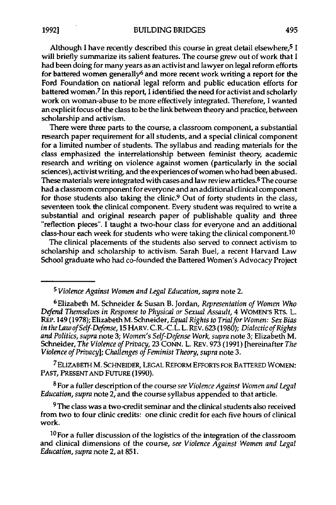Although **I** have recently described this course in great detail elsewhere,5 I will briefly summarize its salient features. The course grew out of work that I had been doing for many years as an activist and lawyer on legal reform efforts for battered women generally<sup>6</sup> and more recent work writing a report for the Ford Foundation on national legal reform and public education efforts for battered women.<sup>7</sup> In this report, I identified the need for activist and scholarly work on woman-abuse to be more effectively integrated. Therefore, I wanted an explicit focus of the class to be the link between theory and practice, between scholarship and activism.

There were three parts to the course, a classroom component, a substantial research paper requirement for all students, and a special clinical component for a limited number of students. The syllabus and reading materials for the class emphasized the interrelationship between feminist theory, academic research and writing on violence against women (particularly in the social sciences), activist writing, and the experiences of women who had been abused. These materials were integrated with cases and law review articles. 8 The course had a classroom component for **everyone** and an additional clinical component for those students also taking the clinic.9 Out of forty students in the class, seventeen took the clinical component. Every student was required to write a substantial and original research paper of publishable quality and three "reflection pieces". **I** taught a two-hour class for everyone and an additional class-hour each week for students who were taking the clinical component. <sup>10</sup>

The clinical placements of the students also served to connect activism to scholarship and scholarship to activism. Sarah Buel, a recent Harvard Law School graduate who had co-founded the Battered Women's Advocacy Project

<sup>7</sup> ELIZABETH M. SCHNEIDER, LEGAL REFORM EFFORTS FOR BATTERED WOMEN: **PAST, PRESENT AND FUTURE (1990).**

**8 For** a fuller description of the course *see Violence Against Women and Legal Education, supra* note 2, and the course syllabus appended to that article.

<sup>9</sup>The class was a two-credit seminar and the clinical students also received from two to four clinic credits: one clinic credit for each five hours of clinical work.

**10For** a fuller discussion of the logistics of the integration of the classroom and clinical dimensions of the course, *see Violence Against Women and Legal Education, supra* note 2, at **851.**

*<sup>5</sup> Violence Against Women and Legal Education, supra* note 2.

<sup>6</sup>Elizabeth M. Schneider **&** Susan B. Jordan, *Representation of Women Who Defend Themselves in Response to Physical or Sexual Assault,* 4 WOMEN's RTS. L. REP. 149 (1978); Elizabeth M. Schneider, *Equal Rights to Trialfor Women: Sex Bias in the Law of Self-Defense,* **15** HARV. C.R.-C.L. L. REv. **623** (1980); *Dialectic of Rights and Politics, supra* note **3;** *Women's Self-Defense Work, supra* note 3; Elizabeth M. Schneider, *The Violence of Privacy,* **23** CONN. L. REv. 973 (1991) [hereinafter *The Violence of Privacy]; Challenges of Feminist Theory, supra* note 3.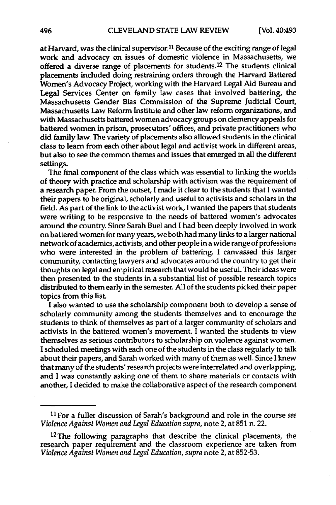at Harvard, was the clinical supervisor.11 Because of the exciting range of legal work and advocacy on issues of domestic violence in Massachusetts, we offered a diverse range of placements for students.<sup>12</sup> The students clinical placements included doing restraining orders through the Harvard Battered Women's Advocacy Project, working with the Harvard Legal Aid Bureau and Legal Services Center on family law cases that involved battering, the Massachusetts Gender Bias Commission of the Supreme Judicial Court, Massachusetts Law Reform Institute and other law reform organizations, and with Massachusetts battered women advocacy groups on clemency appeals for battered women in prison, prosecutors' offices, and private practitioners who did family law. The variety of placements also allowed students in the clinical class to learn from each other about legal and activist work in different areas, but also to see the common themes and issues that emerged in all the different settings.

The final component of the class which was essential to linking the worlds of theory with practice and scholarship with activism was the requirement of a research paper. From the outset, **I** made it clear to the students that I wanted their papers to be original, scholarly and useful to activists and scholars in the field. As part of the link to the activist work, I wanted the papers that students were writing to be responsive to the needs of battered women's advocates around the country. Since Sarah Buel and I had been deeply involved in work on battered women for many years, we both had many links to a larger national network of academics, activists, and other people in a wide range of professions who were interested in the problem of battering. **I** canvassed this larger community, contacting lawyers and advocates around the country to get their thoughts on legal and empirical research that would be useful. Their ideas were then presented to the students in a substantial list of possible research topics distributed to them early in the semester. **All** of the students picked their paper topics from this list.

**I** also wanted to use the scholarship component both to develop a sense of scholarly community among the students themselves and to encourage the students to think of themselves as part of a larger community of scholars and activists in the battered women's movement. **I** wanted the students to view themselves as serious contributors to scholarship on violence against women. **I** scheduled meetings with each one of the students in the class regularly to talk about their papers, and Sarah worked with many of them as well. Since **I** knew that many of the students' research projects were interrelated and overlapping, and **I** was constantly asking one of them to share materials or contacts with another, **I** decided to make the collaborative aspect of the research component

**<sup>11</sup> For** a fuller discussion of Sarah's background and role in the course *see Violence Against Women and Legal Education supra,* note 2, at **851** n. 22.

**<sup>12</sup>The** following paragraphs that describe the clinical placements, the research paper requirement and the classroom experience are taken from *Violence Against Women and Legal Education, supra* note 2, at **852-53.**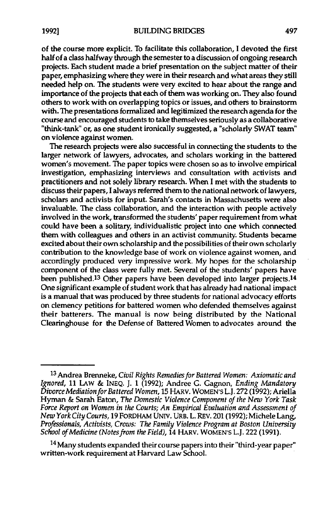of the course more explicit. To facilitate this collaboration, I devoted the first half of a class halfway through the semester to a discussion of ongoing research projects. Each student made a brief presentation on the subject matter of their paper, emphasizing where they were in their research and what areas they still needed help on. **The** students were very excited to hear about the range and importance of the projects that each of them was working on. They also found others to work with on overlapping topics or issues, and others to brainstorm with. The presentations formalized and legitimized the research agenda for the course and encouraged students to take themselves seriously as a collaborative "think-tank" or, as one student ironically suggested, a "scholarly SWAT team" on violence against women.

The research projects were also successful in connecting the students to the larger network of lawyers, advocates, and scholars working in the battered women's movement. The paper topics were chosen so as to involve empirical investigation, emphasizing interviews and consultation with activists and practitioners and not solely library research. When **I** met with the students to discuss their papers, **I** always referred them to the national network of lawyers, scholars and activists for input. Sarah's contacts in Massachusetts were also invaluable. **The** class collaboration, and the interaction with people actively involved in the work, transformed the students' paper requirement from what could have been a solitary, individualistic project into one which connected them with colleagues and others in an activist community. Students became excited about their own scholarship and the possibilities of their own scholarly contribution to the knowledge base of work on violence against women, and accordingly produced very impressive work. **My** hopes for the scholarship component of the class were fully met. Several of the students' papers have been published.<sup>13</sup> Other papers have been developed into larger projects.<sup>14</sup> One significant example of student work that has already had national impact is a manual that was produced **by** three students for national advocacy efforts on clemency petitions for battered women who defended themselves against their batterers. The manual is now being distributed **by** the National Clearinghouse for the Defense of Battered Women to advocates around the

**<sup>13</sup>**Andrea Brenneke, *Civil Rights Remedies for Battered Women: Axiomatic and Ignored,* **11** LAW **& INEQ. J.** 1 **(1992);** Andree **G.** Gagnon, *Ending Mandatory Divorce Mediationfor Battered Women,* **15** HARV. WOMEN'S L.J. **272 (1992);** Ariella Hyman **&** Sarah Eaton, *The Domestic Violence Component of the New York Task Force Report on Women in the Courts; An Empirical Evaluation and Assessment of New York City Courts,* **19** FORDHAM **UNIV.** URB. L. REv. 201 **(1992);** Michele Lang, *Professionals, Activists, Crows: The Family Violence Program at Boston University School of Medicine (Notes from the Field),* 14 HARV. WOMEN'S L.J. 222 **(1991).**

**<sup>14</sup>**Many students expanded their course papers into their "third-year paper" written-work requirement at Harvard Law School.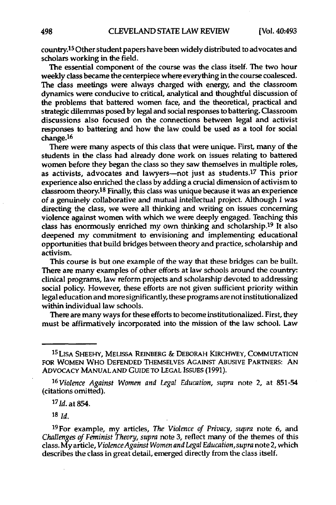country.15 Other student papers have been widely distributed to advocates and scholars working in the field.

The essential component of the course was the class itself. The two hour weekly class became the centerpiece where everything in the course coalesced. The class meetings were always charged with energy, and the classroom dynamics were conducive to critical, analytical and thoughtful discussion of the problems that battered women face, and the theoretical, practical and strategic dilemmas posed **by** legal and social responses to battering. Classroom discussions also focused on the connections between legal and activist responses to battering and how the law could be used as a tool for social change.<sup>16</sup>

There were many aspects of this class that were unique. First, many of the students in the class had already done work on issues relating to battered women before they began the class so they saw themselves in multiple roles, as activists, advocates and lawyers-not just as students.<sup>17</sup> This prior experience also enriched the class **by** adding a crucial dimension of activism to classroom theory.18 Finally, this class was unique because it was an experience of a genuinely collaborative and mutual intellectual project. Although **I** was directing the class, we were all thinking and writing on issues concerning violence against women with which we were deeply engaged. Teaching this class has enormously enriched my own thinking and scholarship.19 It also deepened my commitment to envisioning and implementing educational opportunities that build bridges between theory and practice, scholarship and activism.

This course is but one example of the way that these bridges can be built. There are many examples of other efforts at law schools around the country: clinical programs, law reform projects and scholarship devoted to addressing social policy. However, these efforts are not given sufficient priority within legal education and more significantly, these programs are not institutionalized within individual law schools.

There are many ways for these efforts to become institutionalized. First, they must be affirmatively incorporated into the mission of the law school. Law

**<sup>18</sup>***Id,*

19For example, my articles, *The Violence of Privacy, supra* note **6,** and *Challenges of Feminist Theory, supra* note **3,** reflect many of the themes of this class. **My** article, *ViolenceAgainst Women and Legal Education,supra* note 2, which describes the class in great detail, emerged directly from the class itself.

<sup>15</sup> LISA SHEEHY, MELISSA REINBERG **&** DEBORAH KIRCHWEY, **COMMUTATION** FOR WOMEN WHO **DEFENDED** THEMSELVES AGAINST **ABUSIVE** PARTNERS: **AN** ADVOCACY **MANUAL AND GUIDE** TO **LEGAL ISSUES (1991).**

*<sup>16</sup> Violence Against Women and Legal Education, supra* note 2, at **851-54** (citations omitted).

*<sup>17</sup> 1d.* at 854.